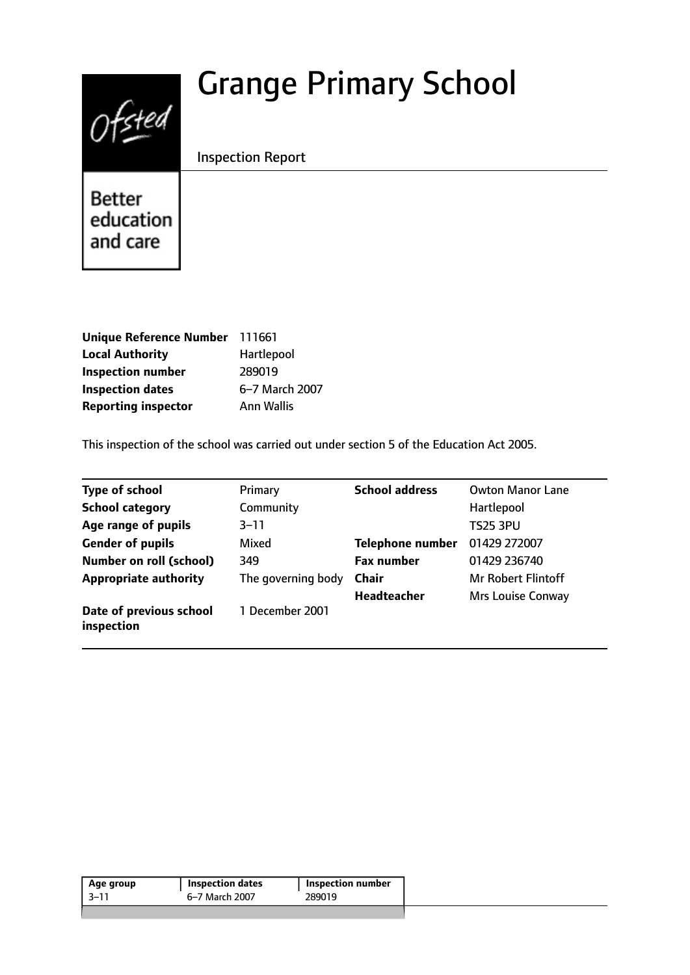# Grange Primary School



Inspection Report

Better education and care

| Unique Reference Number 111661 |                |
|--------------------------------|----------------|
| <b>Local Authority</b>         | Hartlepool     |
| <b>Inspection number</b>       | 289019         |
| <b>Inspection dates</b>        | 6-7 March 2007 |
| <b>Reporting inspector</b>     | Ann Wallis     |

This inspection of the school was carried out under section 5 of the Education Act 2005.

| <b>Type of school</b>                 | Primary            | <b>School address</b> | <b>Owton Manor Lane</b>   |
|---------------------------------------|--------------------|-----------------------|---------------------------|
| <b>School category</b>                | Community          |                       | Hartlepool                |
| Age range of pupils                   | $3 - 11$           |                       | <b>TS25 3PU</b>           |
| <b>Gender of pupils</b>               | Mixed              | Telephone number      | 01429 272007              |
| <b>Number on roll (school)</b>        | 349                | <b>Fax number</b>     | 01429 236740              |
| <b>Appropriate authority</b>          | The governing body | <b>Chair</b>          | <b>Mr Robert Flintoff</b> |
|                                       |                    | <b>Headteacher</b>    | Mrs Louise Conway         |
| Date of previous school<br>inspection | 1 December 2001    |                       |                           |

| 6–7 March 2007<br>289019 | Age group | <b>Inspection dates</b> | <b>Inspection number</b> |
|--------------------------|-----------|-------------------------|--------------------------|
|                          | -3–11     |                         |                          |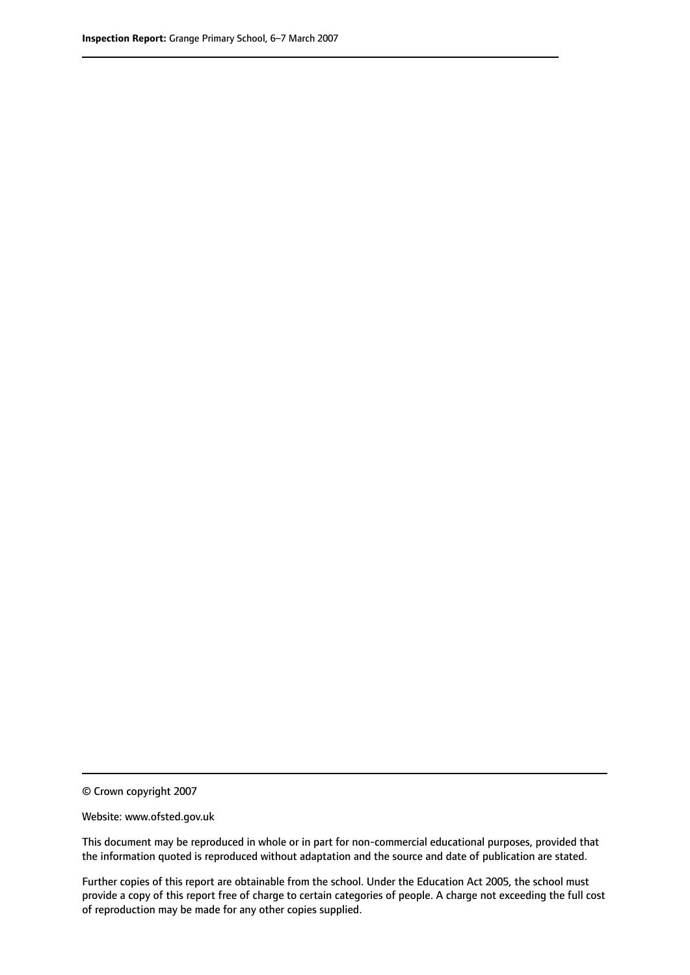© Crown copyright 2007

Website: www.ofsted.gov.uk

This document may be reproduced in whole or in part for non-commercial educational purposes, provided that the information quoted is reproduced without adaptation and the source and date of publication are stated.

Further copies of this report are obtainable from the school. Under the Education Act 2005, the school must provide a copy of this report free of charge to certain categories of people. A charge not exceeding the full cost of reproduction may be made for any other copies supplied.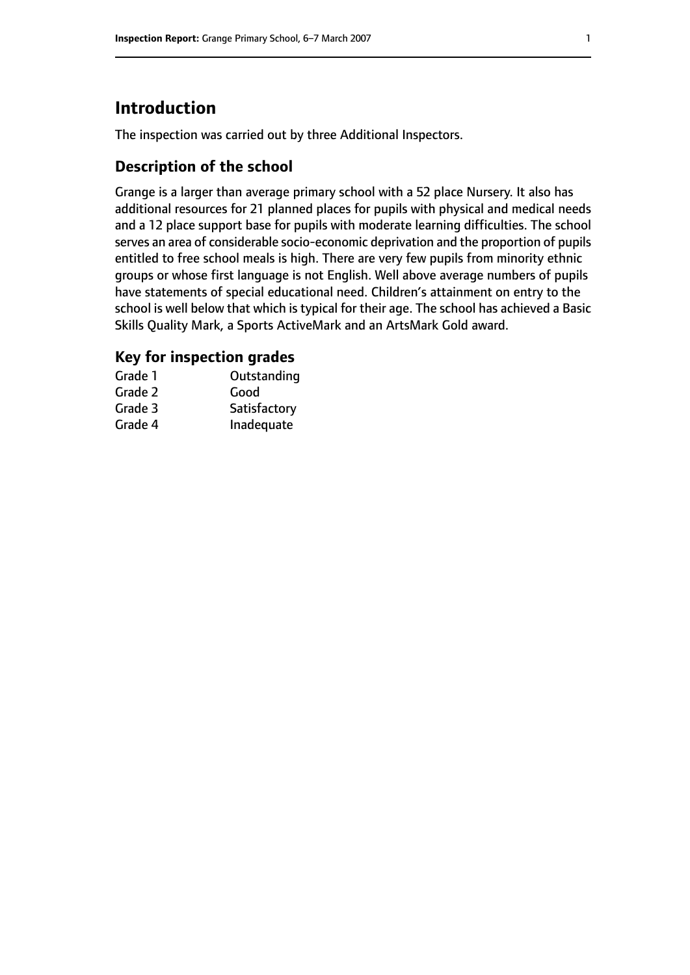# **Introduction**

The inspection was carried out by three Additional Inspectors.

## **Description of the school**

Grange is a larger than average primary school with a 52 place Nursery. It also has additional resources for 21 planned places for pupils with physical and medical needs and a 12 place support base for pupils with moderate learning difficulties. The school serves an area of considerable socio-economic deprivation and the proportion of pupils entitled to free school meals is high. There are very few pupils from minority ethnic groups or whose first language is not English. Well above average numbers of pupils have statements of special educational need. Children's attainment on entry to the school is well below that which is typical for their age. The school has achieved a Basic Skills Quality Mark, a Sports ActiveMark and an ArtsMark Gold award.

## **Key for inspection grades**

| Grade 1 | Outstanding  |
|---------|--------------|
| Grade 2 | Good         |
| Grade 3 | Satisfactory |
| Grade 4 | Inadequate   |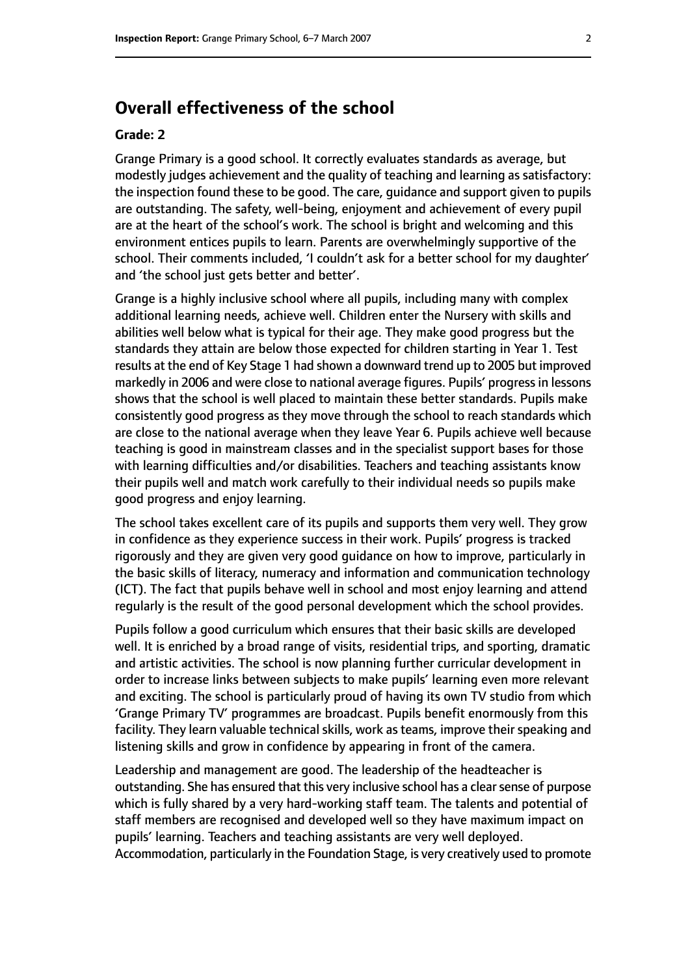# **Overall effectiveness of the school**

#### **Grade: 2**

Grange Primary is a good school. It correctly evaluates standards as average, but modestly judges achievement and the quality of teaching and learning as satisfactory: the inspection found these to be good. The care, guidance and support given to pupils are outstanding. The safety, well-being, enjoyment and achievement of every pupil are at the heart of the school's work. The school is bright and welcoming and this environment entices pupils to learn. Parents are overwhelmingly supportive of the school. Their comments included, 'I couldn't ask for a better school for my daughter' and 'the school just gets better and better'.

Grange is a highly inclusive school where all pupils, including many with complex additional learning needs, achieve well. Children enter the Nursery with skills and abilities well below what is typical for their age. They make good progress but the standards they attain are below those expected for children starting in Year 1. Test results at the end of Key Stage 1 had shown a downward trend up to 2005 but improved markedly in 2006 and were close to national average figures. Pupils' progressin lessons shows that the school is well placed to maintain these better standards. Pupils make consistently good progress as they move through the school to reach standards which are close to the national average when they leave Year 6. Pupils achieve well because teaching is good in mainstream classes and in the specialist support bases for those with learning difficulties and/or disabilities. Teachers and teaching assistants know their pupils well and match work carefully to their individual needs so pupils make good progress and enjoy learning.

The school takes excellent care of its pupils and supports them very well. They grow in confidence as they experience success in their work. Pupils' progress is tracked rigorously and they are given very good guidance on how to improve, particularly in the basic skills of literacy, numeracy and information and communication technology (ICT). The fact that pupils behave well in school and most enjoy learning and attend regularly is the result of the good personal development which the school provides.

Pupils follow a good curriculum which ensures that their basic skills are developed well. It is enriched by a broad range of visits, residential trips, and sporting, dramatic and artistic activities. The school is now planning further curricular development in order to increase links between subjects to make pupils' learning even more relevant and exciting. The school is particularly proud of having its own TV studio from which 'Grange Primary TV' programmes are broadcast. Pupils benefit enormously from this facility. They learn valuable technical skills, work as teams, improve their speaking and listening skills and grow in confidence by appearing in front of the camera.

Leadership and management are good. The leadership of the headteacher is outstanding. She has ensured that this very inclusive school has a clear sense of purpose which is fully shared by a very hard-working staff team. The talents and potential of staff members are recognised and developed well so they have maximum impact on pupils' learning. Teachers and teaching assistants are very well deployed. Accommodation, particularly in the Foundation Stage, is very creatively used to promote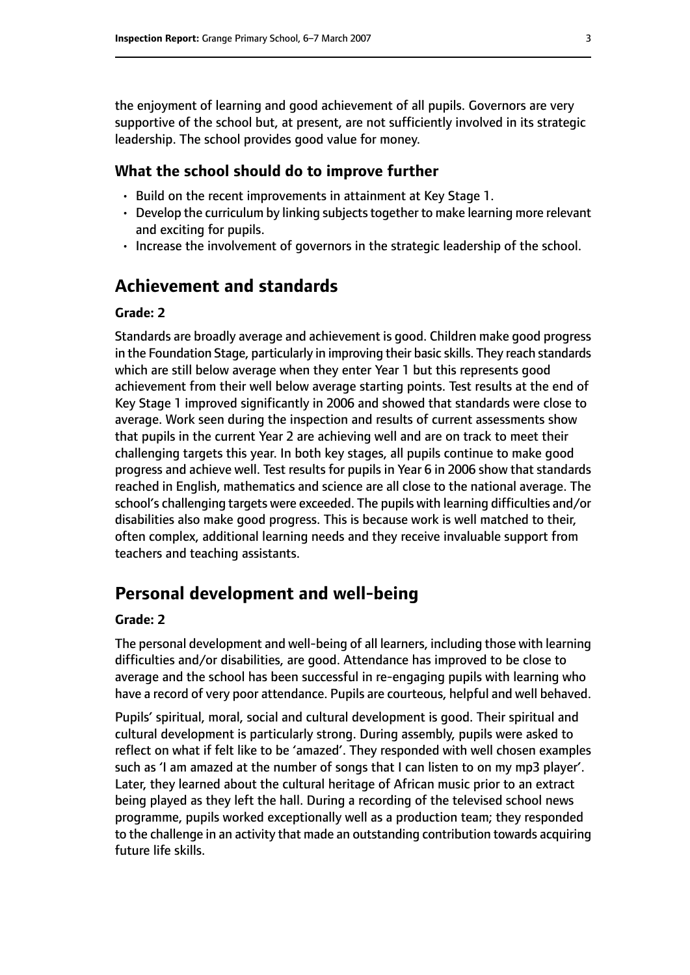the enjoyment of learning and good achievement of all pupils. Governors are very supportive of the school but, at present, are not sufficiently involved in its strategic leadership. The school provides good value for money.

#### **What the school should do to improve further**

- Build on the recent improvements in attainment at Key Stage 1.
- Develop the curriculum by linking subjects together to make learning more relevant and exciting for pupils.
- Increase the involvement of governors in the strategic leadership of the school.

# **Achievement and standards**

#### **Grade: 2**

Standards are broadly average and achievement is good. Children make good progress in the Foundation Stage, particularly in improving their basic skills. They reach standards which are still below average when they enter Year 1 but this represents good achievement from their well below average starting points. Test results at the end of Key Stage 1 improved significantly in 2006 and showed that standards were close to average. Work seen during the inspection and results of current assessments show that pupils in the current Year 2 are achieving well and are on track to meet their challenging targets this year. In both key stages, all pupils continue to make good progress and achieve well. Test results for pupils in Year 6 in 2006 show that standards reached in English, mathematics and science are all close to the national average. The school's challenging targets were exceeded. The pupils with learning difficulties and/or disabilities also make good progress. This is because work is well matched to their, often complex, additional learning needs and they receive invaluable support from teachers and teaching assistants.

# **Personal development and well-being**

#### **Grade: 2**

The personal development and well-being of all learners, including those with learning difficulties and/or disabilities, are good. Attendance has improved to be close to average and the school has been successful in re-engaging pupils with learning who have a record of very poor attendance. Pupils are courteous, helpful and well behaved.

Pupils' spiritual, moral, social and cultural development is good. Their spiritual and cultural development is particularly strong. During assembly, pupils were asked to reflect on what if felt like to be 'amazed'. They responded with well chosen examples such as 'I am amazed at the number of songs that I can listen to on my mp3 player'. Later, they learned about the cultural heritage of African music prior to an extract being played as they left the hall. During a recording of the televised school news programme, pupils worked exceptionally well as a production team; they responded to the challenge in an activity that made an outstanding contribution towards acquiring future life skills.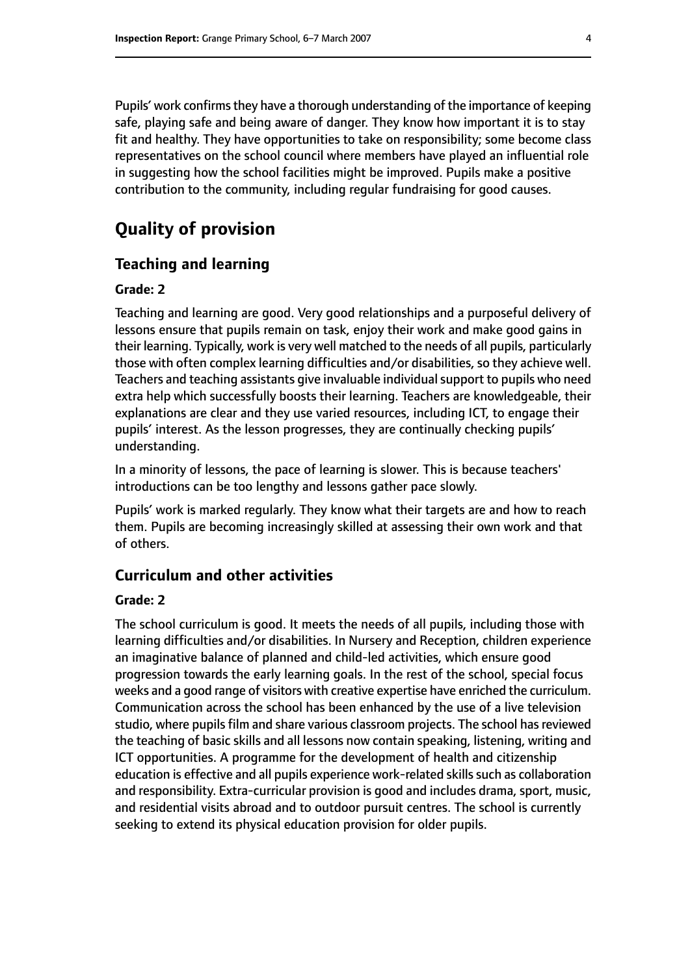Pupils' work confirms they have a thorough understanding of the importance of keeping safe, playing safe and being aware of danger. They know how important it is to stay fit and healthy. They have opportunities to take on responsibility; some become class representatives on the school council where members have played an influential role in suggesting how the school facilities might be improved. Pupils make a positive contribution to the community, including regular fundraising for good causes.

# **Quality of provision**

#### **Teaching and learning**

#### **Grade: 2**

Teaching and learning are good. Very good relationships and a purposeful delivery of lessons ensure that pupils remain on task, enjoy their work and make good gains in their learning. Typically, work is very well matched to the needs of all pupils, particularly those with often complex learning difficulties and/or disabilities, so they achieve well. Teachers and teaching assistants give invaluable individual support to pupils who need extra help which successfully boosts their learning. Teachers are knowledgeable, their explanations are clear and they use varied resources, including ICT, to engage their pupils' interest. As the lesson progresses, they are continually checking pupils' understanding.

In a minority of lessons, the pace of learning is slower. This is because teachers' introductions can be too lengthy and lessons gather pace slowly.

Pupils' work is marked regularly. They know what their targets are and how to reach them. Pupils are becoming increasingly skilled at assessing their own work and that of others.

#### **Curriculum and other activities**

#### **Grade: 2**

The school curriculum is good. It meets the needs of all pupils, including those with learning difficulties and/or disabilities. In Nursery and Reception, children experience an imaginative balance of planned and child-led activities, which ensure good progression towards the early learning goals. In the rest of the school, special focus weeks and a good range of visitors with creative expertise have enriched the curriculum. Communication across the school has been enhanced by the use of a live television studio, where pupils film and share various classroom projects. The school has reviewed the teaching of basic skills and all lessons now contain speaking, listening, writing and ICT opportunities. A programme for the development of health and citizenship education is effective and all pupils experience work-related skills such as collaboration and responsibility. Extra-curricular provision is good and includes drama, sport, music, and residential visits abroad and to outdoor pursuit centres. The school is currently seeking to extend its physical education provision for older pupils.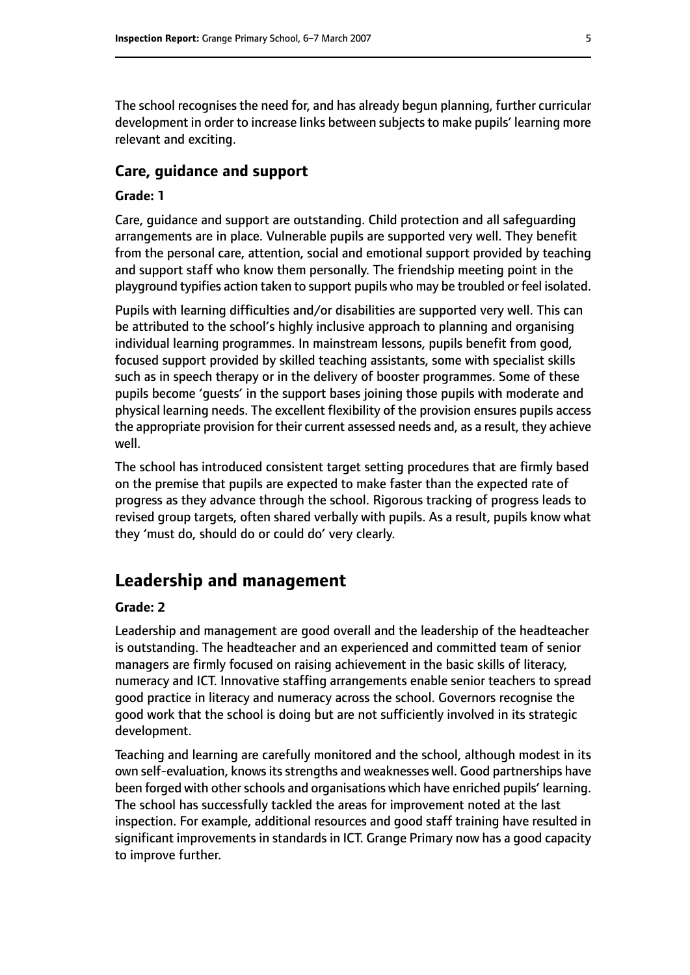The school recognises the need for, and has already begun planning, further curricular development in order to increase links between subjects to make pupils' learning more relevant and exciting.

#### **Care, guidance and support**

#### **Grade: 1**

Care, guidance and support are outstanding. Child protection and all safeguarding arrangements are in place. Vulnerable pupils are supported very well. They benefit from the personal care, attention, social and emotional support provided by teaching and support staff who know them personally. The friendship meeting point in the playground typifies action taken to support pupils who may be troubled or feel isolated.

Pupils with learning difficulties and/or disabilities are supported very well. This can be attributed to the school's highly inclusive approach to planning and organising individual learning programmes. In mainstream lessons, pupils benefit from good, focused support provided by skilled teaching assistants, some with specialist skills such as in speech therapy or in the delivery of booster programmes. Some of these pupils become 'guests' in the support bases joining those pupils with moderate and physical learning needs. The excellent flexibility of the provision ensures pupils access the appropriate provision for their current assessed needs and, as a result, they achieve well.

The school has introduced consistent target setting procedures that are firmly based on the premise that pupils are expected to make faster than the expected rate of progress as they advance through the school. Rigorous tracking of progress leads to revised group targets, often shared verbally with pupils. As a result, pupils know what they 'must do, should do or could do' very clearly.

## **Leadership and management**

#### **Grade: 2**

Leadership and management are good overall and the leadership of the headteacher is outstanding. The headteacher and an experienced and committed team of senior managers are firmly focused on raising achievement in the basic skills of literacy, numeracy and ICT. Innovative staffing arrangements enable senior teachers to spread good practice in literacy and numeracy across the school. Governors recognise the good work that the school is doing but are not sufficiently involved in its strategic development.

Teaching and learning are carefully monitored and the school, although modest in its own self-evaluation, knows its strengths and weaknesses well. Good partnerships have been forged with other schools and organisations which have enriched pupils' learning. The school has successfully tackled the areas for improvement noted at the last inspection. For example, additional resources and good staff training have resulted in significant improvements in standards in ICT. Grange Primary now has a good capacity to improve further.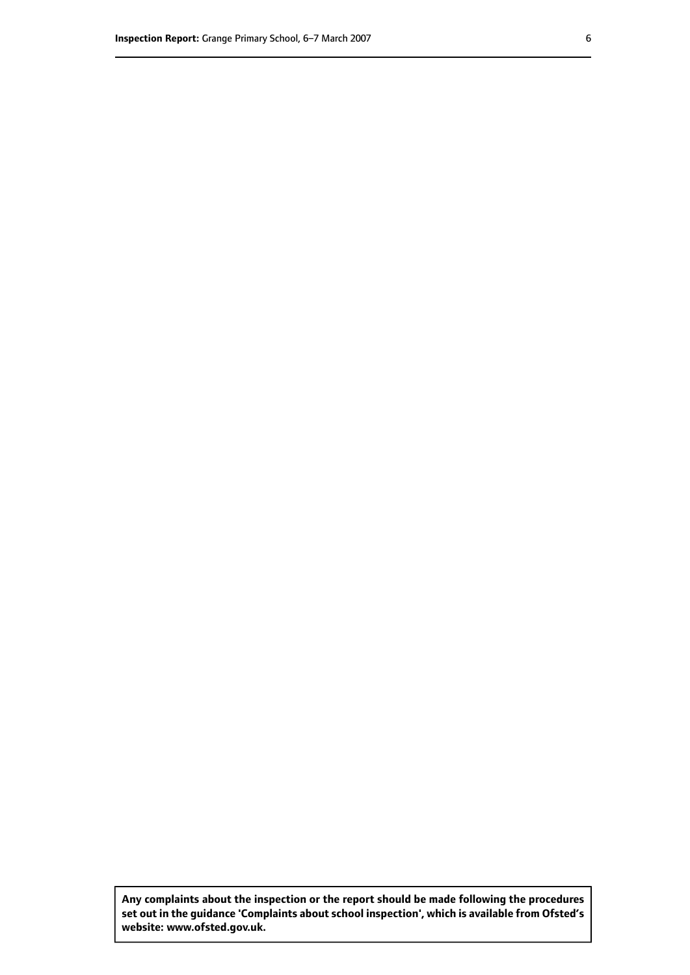**Any complaints about the inspection or the report should be made following the procedures set out inthe guidance 'Complaints about school inspection', whichis available from Ofsted's website: www.ofsted.gov.uk.**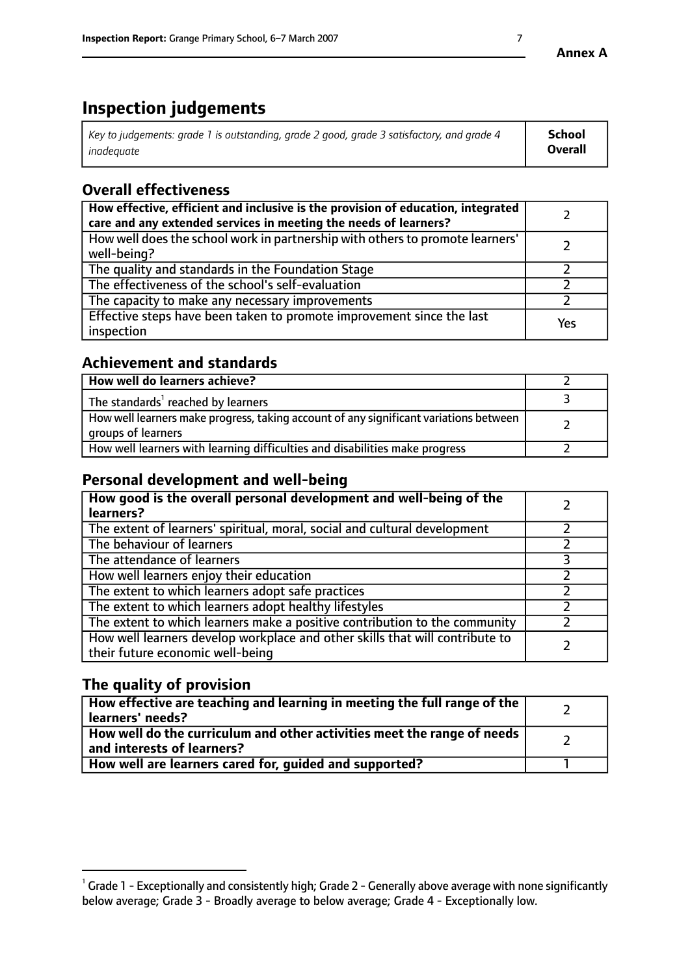# **Inspection judgements**

| $\vert$ Key to judgements: grade 1 is outstanding, grade 2 good, grade 3 satisfactory, and grade 4 | School         |
|----------------------------------------------------------------------------------------------------|----------------|
| inadeauate                                                                                         | <b>Overall</b> |

# **Overall effectiveness**

| How effective, efficient and inclusive is the provision of education, integrated<br>care and any extended services in meeting the needs of learners? |     |
|------------------------------------------------------------------------------------------------------------------------------------------------------|-----|
| How well does the school work in partnership with others to promote learners'<br>well-being?                                                         |     |
| The quality and standards in the Foundation Stage                                                                                                    |     |
| The effectiveness of the school's self-evaluation                                                                                                    |     |
| The capacity to make any necessary improvements                                                                                                      |     |
| Effective steps have been taken to promote improvement since the last<br>inspection                                                                  | Yes |

## **Achievement and standards**

| How well do learners achieve?                                                                               |  |
|-------------------------------------------------------------------------------------------------------------|--|
| The standards <sup>1</sup> reached by learners                                                              |  |
| How well learners make progress, taking account of any significant variations between<br>groups of learners |  |
| How well learners with learning difficulties and disabilities make progress                                 |  |

## **Personal development and well-being**

| How good is the overall personal development and well-being of the<br>learners?                                  |  |
|------------------------------------------------------------------------------------------------------------------|--|
| The extent of learners' spiritual, moral, social and cultural development                                        |  |
| The behaviour of learners                                                                                        |  |
| The attendance of learners                                                                                       |  |
| How well learners enjoy their education                                                                          |  |
| The extent to which learners adopt safe practices                                                                |  |
| The extent to which learners adopt healthy lifestyles                                                            |  |
| The extent to which learners make a positive contribution to the community                                       |  |
| How well learners develop workplace and other skills that will contribute to<br>their future economic well-being |  |

## **The quality of provision**

| How effective are teaching and learning in meeting the full range of the<br>  learners' needs?                      |  |
|---------------------------------------------------------------------------------------------------------------------|--|
| $\mid$ How well do the curriculum and other activities meet the range of needs<br>$\mid$ and interests of learners? |  |
| How well are learners cared for, guided and supported?                                                              |  |

 $^1$  Grade 1 - Exceptionally and consistently high; Grade 2 - Generally above average with none significantly below average; Grade 3 - Broadly average to below average; Grade 4 - Exceptionally low.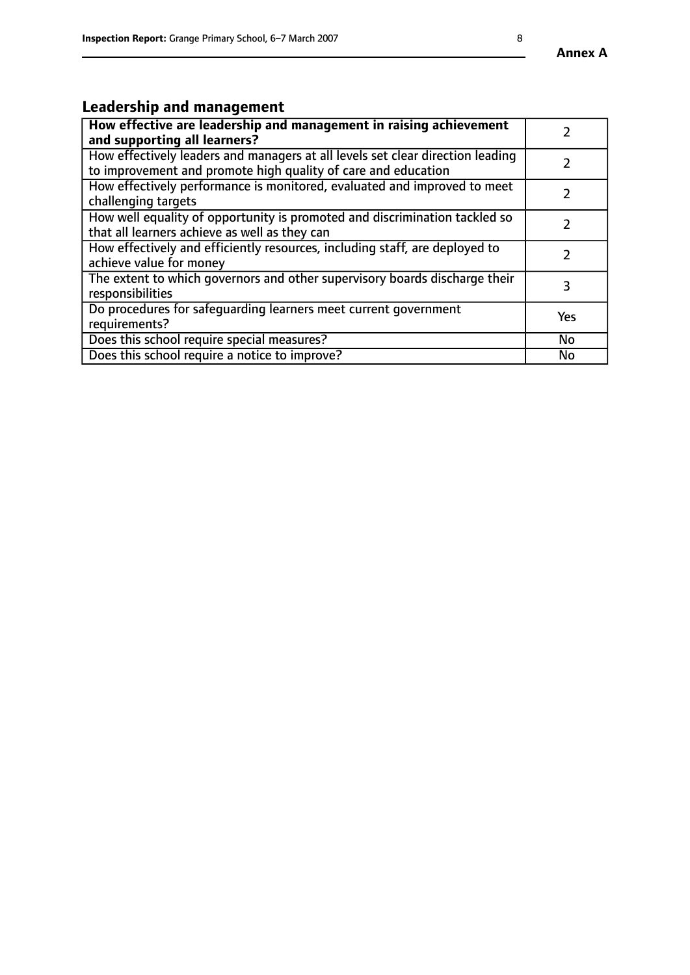# **Leadership and management**

| How effective are leadership and management in raising achievement<br>and supporting all learners?                                              |               |
|-------------------------------------------------------------------------------------------------------------------------------------------------|---------------|
| How effectively leaders and managers at all levels set clear direction leading<br>to improvement and promote high quality of care and education |               |
| How effectively performance is monitored, evaluated and improved to meet<br>challenging targets                                                 | $\mathcal{L}$ |
| How well equality of opportunity is promoted and discrimination tackled so<br>that all learners achieve as well as they can                     |               |
| How effectively and efficiently resources, including staff, are deployed to<br>achieve value for money                                          |               |
| The extent to which governors and other supervisory boards discharge their<br>responsibilities                                                  | 3             |
| Do procedures for safequarding learners meet current government<br>requirements?                                                                | Yes           |
| Does this school require special measures?                                                                                                      | No            |
| Does this school require a notice to improve?                                                                                                   | <b>No</b>     |